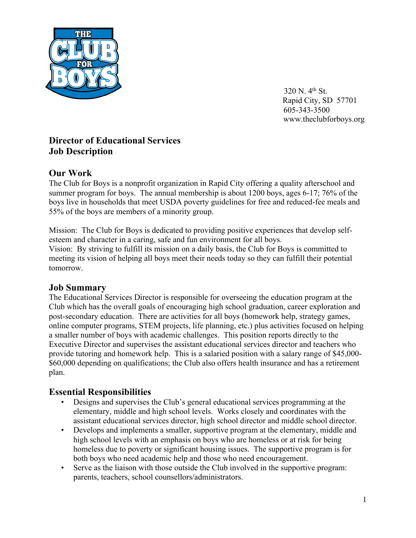

320 N. 4th St. Rapid City, SD 57701 605-343-3500 www.theclubforboys.org

# **Director of Educational Services Job Description**

## **Our Work**

The Club for Boys is a nonprofit organization in Rapid City offering a quality afterschool and summer program for boys. The annual membership is about 1200 boys, ages 6-17; 76% of the boys live in households that meet USDA poverty guidelines for free and reduced-fee meals and 55% of the boys are members of a minority group.

Mission: The Club for Boys is dedicated to providing positive experiences that develop selfesteem and character in a caring, safe and fun environment for all boys. Vision: By striving to fulfill its mission on a daily basis, the Club for Boys is committed to meeting its vision of helping all boys meet their needs today so they can fulfill their potential tomorrow.

## **Job Summary**

The Educational Services Director is responsible for overseeing the education program at the Club which has the overall goals of encouraging high school graduation, career exploration and post-secondary education. There are activities for all boys (homework help, strategy games, online computer programs, STEM projects, life planning, etc.) plus activities focused on helping a smaller number of boys with academic challenges. This position reports directly to the Executive Director and supervises the assistant educational services director and teachers who provide tutoring and homework help. This is a salaried position with a salary range of \$45,000- \$60,000 depending on qualifications; the Club also offers health insurance and has a retirement plan.

## **Essential Responsibilities**

- Designs and supervises the Club's general educational services programming at the elementary, middle and high school levels. Works closely and coordinates with the assistant educational services director, high school director and middle school director.
- Develops and implements a smaller, supportive program at the elementary, middle and high school levels with an emphasis on boys who are homeless or at risk for being homeless due to poverty or significant housing issues. The supportive program is for both boys who need academic help and those who need encouragement.
- Serve as the liaison with those outside the Club involved in the supportive program: parents, teachers, school counsellors/administrators.